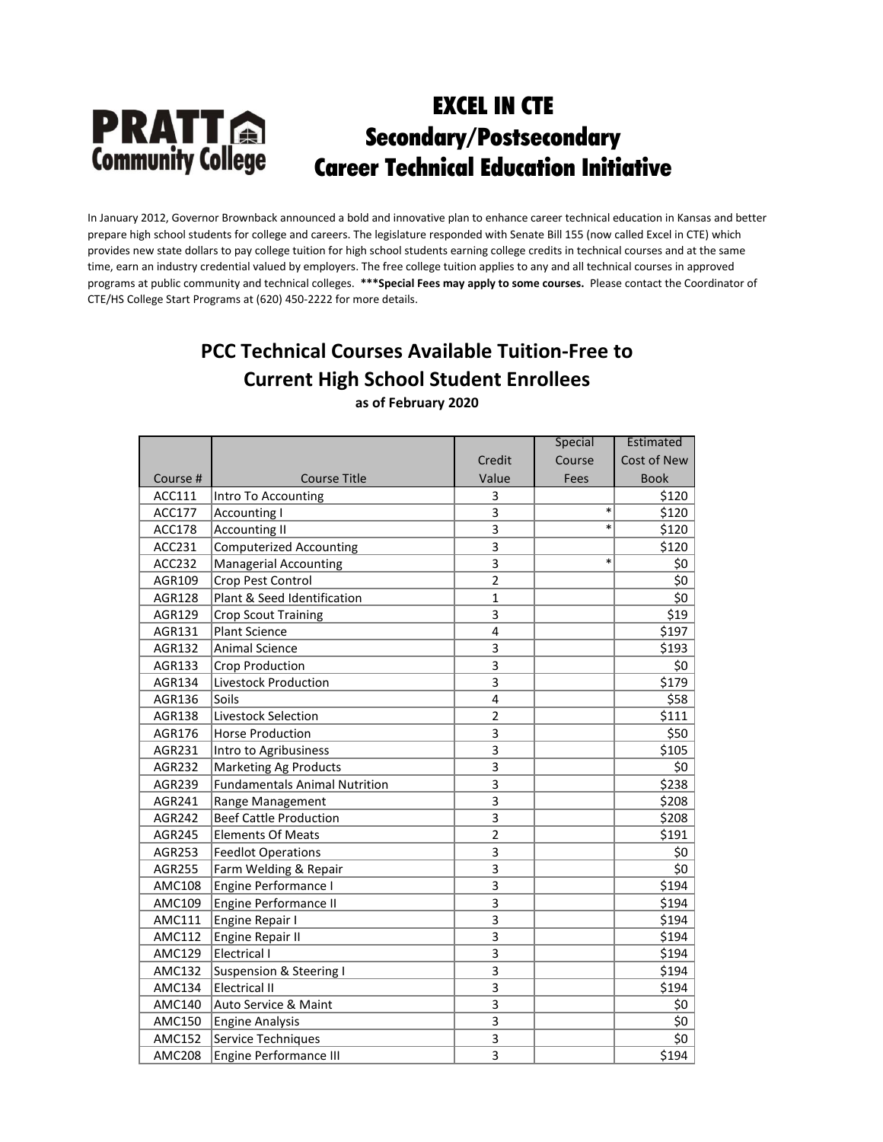In January 2012, Governor Brownback announced a bold and innovative plan to enhance career technical education in Kansas and better prepare high school students for college and careers. The legislature responded with Senate Bill 155 (now called Excel in CTE) which provides new state dollars to pay college tuition for high school students earning college credits in technical courses and at the same time, earn an industry credential valued by employers. The free college tuition applies to any and all technical courses in approved programs at public community and technical colleges. **\*\*\*Special Fees may apply to some courses.** Please contact the Coordinator of CTE/HS College Start Programs at (620) 450-2222 for more details.

## **PCC Technical Courses Available Tuition-Free to Current High School Student Enrollees**

**as of February 2020**

|               |                                      |                | Special | Estimated   |
|---------------|--------------------------------------|----------------|---------|-------------|
|               |                                      | Credit         | Course  | Cost of New |
| Course #      | <b>Course Title</b>                  | Value          | Fees    | <b>Book</b> |
| ACC111        | Intro To Accounting                  | 3              |         | \$120       |
| <b>ACC177</b> | <b>Accounting I</b>                  | 3              | $\ast$  | \$120       |
| <b>ACC178</b> | <b>Accounting II</b>                 | 3              | $\ast$  | \$120       |
| ACC231        | <b>Computerized Accounting</b>       | 3              |         | \$120       |
| ACC232        | Managerial Accounting                | 3              | $\ast$  | \$0         |
| AGR109        | Crop Pest Control                    | $\overline{2}$ |         | \$0         |
| <b>AGR128</b> | Plant & Seed Identification          | $\mathbf{1}$   |         | \$0         |
| AGR129        | <b>Crop Scout Training</b>           | 3              |         | \$19        |
| AGR131        | <b>Plant Science</b>                 | 4              |         | \$197       |
| AGR132        | <b>Animal Science</b>                | 3              |         | \$193       |
| AGR133        | Crop Production                      | 3              |         | \$0         |
| AGR134        | Livestock Production                 | 3              |         | \$179       |
| AGR136        | Soils                                | 4              |         | \$58        |
| <b>AGR138</b> | Livestock Selection                  | $\overline{2}$ |         | \$111       |
| AGR176        | <b>Horse Production</b>              | 3              |         | \$50        |
| AGR231        | Intro to Agribusiness                | 3              |         | \$105       |
| AGR232        | <b>Marketing Ag Products</b>         | 3              |         | \$0         |
| AGR239        | <b>Fundamentals Animal Nutrition</b> | 3              |         | \$238       |
| AGR241        | Range Management                     | $\overline{3}$ |         | \$208       |
| <b>AGR242</b> | <b>Beef Cattle Production</b>        | 3              |         | \$208       |
| AGR245        | <b>Elements Of Meats</b>             | $\overline{2}$ |         | \$191       |
| AGR253        | <b>Feedlot Operations</b>            | 3              |         | \$0         |
| <b>AGR255</b> | Farm Welding & Repair                | 3              |         | \$0         |
| <b>AMC108</b> | Engine Performance I                 | 3              |         | \$194       |
| AMC109        | Engine Performance II                | 3              |         | \$194       |
| <b>AMC111</b> | Engine Repair I                      | 3              |         | \$194       |
| <b>AMC112</b> | Engine Repair II                     | 3              |         | \$194       |
| <b>AMC129</b> | Electrical I                         | 3              |         | \$194       |
| AMC132        | <b>Suspension &amp; Steering I</b>   | 3              |         | \$194       |
| AMC134        | <b>Electrical II</b>                 | 3              |         | \$194       |
| <b>AMC140</b> | Auto Service & Maint                 | 3              |         | \$0         |
| <b>AMC150</b> | <b>Engine Analysis</b>               | 3              |         | \$0         |
| <b>AMC152</b> | Service Techniques                   | 3              |         | \$0         |
| <b>AMC208</b> | <b>Engine Performance III</b>        | 3              |         | \$194       |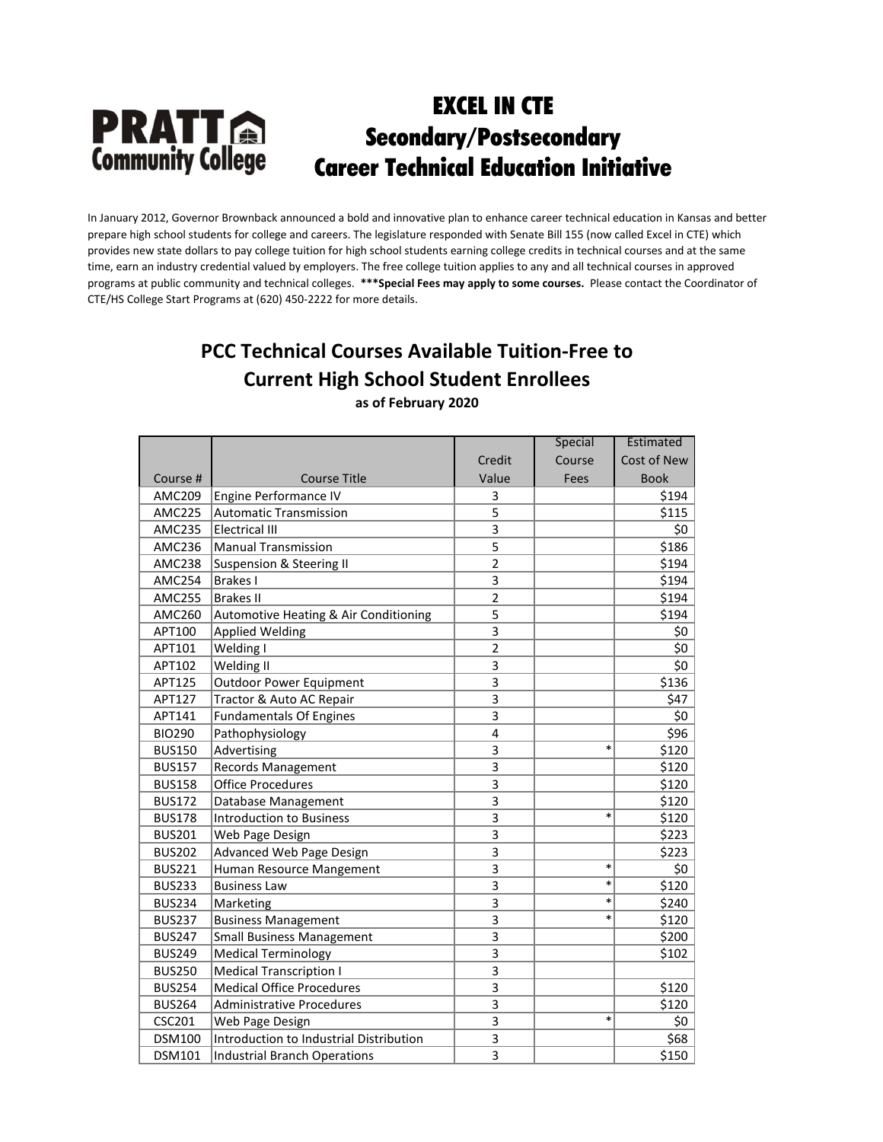In January 2012, Governor Brownback announced a bold and innovative plan to enhance career technical education in Kansas and better prepare high school students for college and careers. The legislature responded with Senate Bill 155 (now called Excel in CTE) which provides new state dollars to pay college tuition for high school students earning college credits in technical courses and at the same time, earn an industry credential valued by employers. The free college tuition applies to any and all technical courses in approved programs at public community and technical colleges. **\*\*\*Special Fees may apply to some courses.** Please contact the Coordinator of CTE/HS College Start Programs at (620) 450-2222 for more details.

# **PCC Technical Courses Available Tuition-Free to Current High School Student Enrollees**

**as of February 2020**

|               |                                         |                | Special | Estimated   |
|---------------|-----------------------------------------|----------------|---------|-------------|
|               |                                         | Credit         | Course  | Cost of New |
| Course #      | <b>Course Title</b>                     | Value          | Fees    | <b>Book</b> |
| AMC209        | Engine Performance IV                   | 3              |         | \$194       |
| <b>AMC225</b> | <b>Automatic Transmission</b>           | 5              |         | \$115       |
| <b>AMC235</b> | <b>Electrical III</b>                   | 3              |         | \$0         |
| AMC236        | <b>Manual Transmission</b>              | 5              |         | \$186       |
| <b>AMC238</b> | Suspension & Steering II                | $\overline{2}$ |         | \$194       |
| <b>AMC254</b> | <b>Brakes I</b>                         | 3              |         | \$194       |
| <b>AMC255</b> | <b>Brakes II</b>                        | $\overline{2}$ |         | \$194       |
| <b>AMC260</b> | Automotive Heating & Air Conditioning   | 5              |         | \$194       |
| APT100        | <b>Applied Welding</b>                  | 3              |         | \$0         |
| APT101        | Welding I                               | $\overline{2}$ |         | \$0         |
| APT102        | Welding II                              | 3              |         | \$0         |
| APT125        | <b>Outdoor Power Equipment</b>          | 3              |         | \$136       |
| APT127        | Tractor & Auto AC Repair                | 3              |         | \$47        |
| APT141        | <b>Fundamentals Of Engines</b>          | 3              |         | \$0         |
| <b>BIO290</b> | Pathophysiology                         | 4              |         | \$96        |
| <b>BUS150</b> | Advertising                             | 3              | $\ast$  | \$120       |
| <b>BUS157</b> | <b>Records Management</b>               | 3              |         | \$120       |
| <b>BUS158</b> | <b>Office Procedures</b>                | 3              |         | \$120       |
| <b>BUS172</b> | Database Management                     | 3              |         | \$120       |
| <b>BUS178</b> | <b>Introduction to Business</b>         | 3              | *       | \$120       |
| <b>BUS201</b> | Web Page Design                         | 3              |         | \$223       |
| <b>BUS202</b> | Advanced Web Page Design                | 3              |         | \$223       |
| <b>BUS221</b> | Human Resource Mangement                | 3              | *       | \$0         |
| <b>BUS233</b> | <b>Business Law</b>                     | 3              | *       | \$120       |
| <b>BUS234</b> | Marketing                               | 3              | *       | \$240       |
| <b>BUS237</b> | <b>Business Management</b>              | 3              | $\ast$  | \$120       |
| <b>BUS247</b> | <b>Small Business Management</b>        | 3              |         | \$200       |
| <b>BUS249</b> | <b>Medical Terminology</b>              | 3              |         | \$102       |
| <b>BUS250</b> | <b>Medical Transcription I</b>          | 3              |         |             |
| <b>BUS254</b> | <b>Medical Office Procedures</b>        | 3              |         | \$120       |
| <b>BUS264</b> | <b>Administrative Procedures</b>        | 3              |         | \$120       |
| <b>CSC201</b> | Web Page Design                         | 3              | $\ast$  | \$0         |
| <b>DSM100</b> | Introduction to Industrial Distribution | 3              |         | \$68        |
| <b>DSM101</b> | <b>Industrial Branch Operations</b>     | 3              |         | \$150       |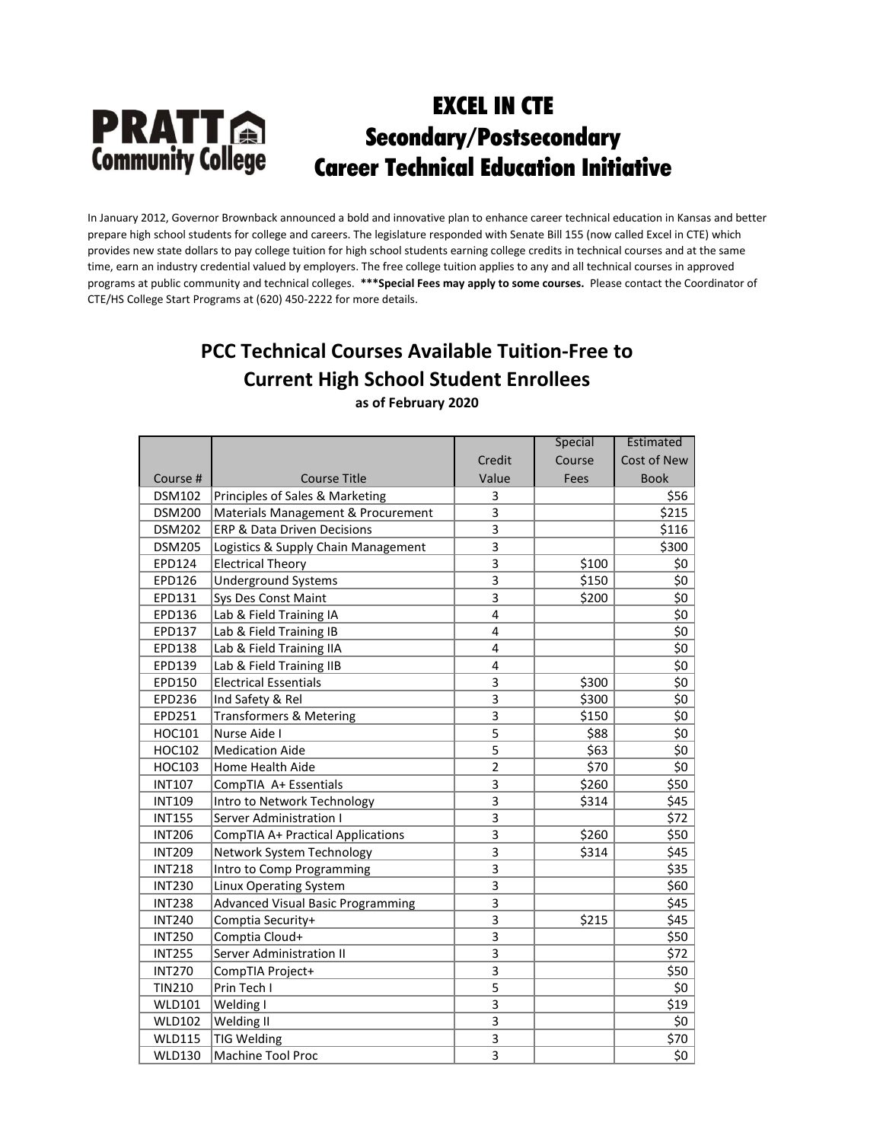In January 2012, Governor Brownback announced a bold and innovative plan to enhance career technical education in Kansas and better prepare high school students for college and careers. The legislature responded with Senate Bill 155 (now called Excel in CTE) which provides new state dollars to pay college tuition for high school students earning college credits in technical courses and at the same time, earn an industry credential valued by employers. The free college tuition applies to any and all technical courses in approved programs at public community and technical colleges. **\*\*\*Special Fees may apply to some courses.** Please contact the Coordinator of CTE/HS College Start Programs at (620) 450-2222 for more details.

# **PCC Technical Courses Available Tuition-Free to Current High School Student Enrollees**

**as of February 2020**

|               |                                          |                | Special | Estimated   |
|---------------|------------------------------------------|----------------|---------|-------------|
|               |                                          | Credit         | Course  | Cost of New |
| Course #      | Course Title                             | Value          | Fees    | <b>Book</b> |
| <b>DSM102</b> | Principles of Sales & Marketing          | 3              |         | \$56        |
| <b>DSM200</b> | Materials Management & Procurement       | 3              |         | \$215       |
| <b>DSM202</b> | ERP & Data Driven Decisions              | 3              |         | \$116       |
| <b>DSM205</b> | Logistics & Supply Chain Management      | 3              |         | \$300       |
| EPD124        | <b>Electrical Theory</b>                 | 3              | \$100   | \$0         |
| EPD126        | <b>Underground Systems</b>               | 3              | \$150   | \$0         |
| EPD131        | Sys Des Const Maint                      | 3              | \$200   | \$0         |
| EPD136        | Lab & Field Training IA                  | 4              |         | \$0         |
| EPD137        | Lab & Field Training IB                  | 4              |         | \$0         |
| EPD138        | Lab & Field Training IIA                 | 4              |         | \$0         |
| EPD139        | Lab & Field Training IIB                 | 4              |         | \$0         |
| EPD150        | <b>Electrical Essentials</b>             | 3              | \$300   | \$0         |
| EPD236        | Ind Safety & Rel                         | 3              | \$300   | \$0         |
| EPD251        | <b>Transformers &amp; Metering</b>       | 3              | \$150   | \$0         |
| HOC101        | Nurse Aide I                             | 5              | \$88    | \$0         |
| HOC102        | <b>Medication Aide</b>                   | 5              | \$63    | \$0         |
| HOC103        | Home Health Aide                         | $\overline{2}$ | \$70    | \$0         |
| <b>INT107</b> | CompTIA A+ Essentials                    | 3              | \$260   | \$50        |
| <b>INT109</b> | Intro to Network Technology              | 3              | \$314   | \$45        |
| <b>INT155</b> | <b>Server Administration I</b>           | 3              |         | \$72        |
| <b>INT206</b> | <b>CompTIA A+ Practical Applications</b> | 3              | \$260   | \$50        |
| <b>INT209</b> | Network System Technology                | 3              | \$314   | \$45        |
| <b>INT218</b> | Intro to Comp Programming                | 3              |         | \$35        |
| <b>INT230</b> | <b>Linux Operating System</b>            | 3              |         | \$60        |
| <b>INT238</b> | <b>Advanced Visual Basic Programming</b> | 3              |         | \$45        |
| <b>INT240</b> | Comptia Security+                        | 3              | \$215   | \$45        |
| <b>INT250</b> | Comptia Cloud+                           | 3              |         | \$50        |
| <b>INT255</b> | Server Administration II                 | 3              |         | \$72        |
| <b>INT270</b> | CompTIA Project+                         | 3              |         | \$50        |
| <b>TIN210</b> | Prin Tech I                              | 5              |         | \$0         |
| <b>WLD101</b> | Welding I                                | 3              |         | \$19        |
| <b>WLD102</b> | Welding II                               | 3              |         | \$0         |
| <b>WLD115</b> | <b>TIG Welding</b>                       | 3              |         | \$70        |
| <b>WLD130</b> | Machine Tool Proc                        | 3              |         | \$0         |